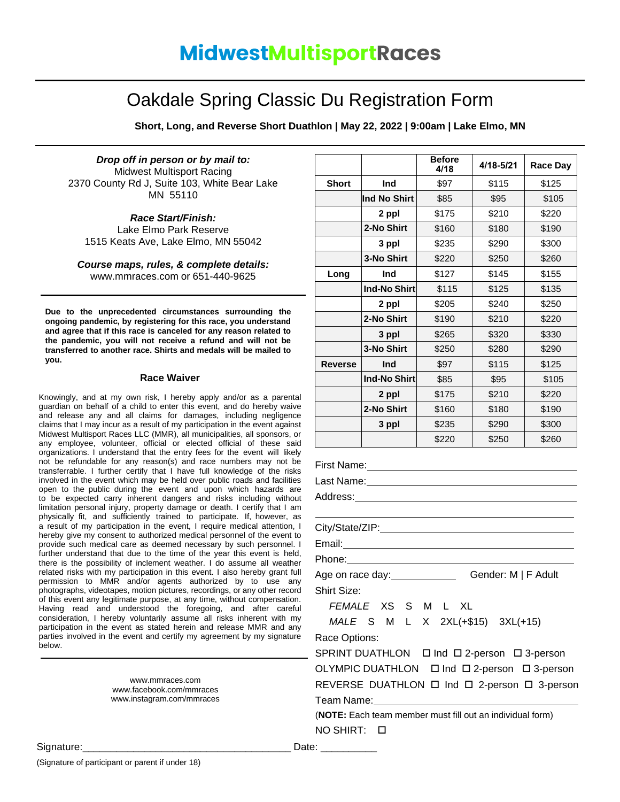## Oakdale Spring Classic Du Registration Form

**Short, Long, and Reverse Short Duathlon | May 22, 2022 | 9:00am | Lake Elmo, MN**

*Drop off in person or by mail to:* Midwest Multisport Racing 2370 County Rd J, Suite 103, White Bear Lake MN 55110

*Race Start/Finish:* Lake Elmo Park Reserve 1515 Keats Ave, Lake Elmo, MN 55042

*Course maps, rules, & complete details:* [www.mmraces.com](http://www.mmraces.com/) or 651-440-9625

**Due to the unprecedented circumstances surrounding the ongoing pandemic, by registering for this race, you understand and agree that if this race is canceled for any reason related to the pandemic, you will not receive a refund and will not be transferred to another race. Shirts and medals will be mailed to you.**

## **Race Waiver**

Knowingly, and at my own risk, I hereby apply and/or as a parental guardian on behalf of a child to enter this event, and do hereby waive and release any and all claims for damages, including negligence claims that I may incur as a result of my participation in the event against Midwest Multisport Races LLC (MMR), all municipalities, all sponsors, or any employee, volunteer, official or elected official of these said organizations. I understand that the entry fees for the event will likely not be refundable for any reason(s) and race numbers may not be transferrable. I further certify that I have full knowledge of the risks involved in the event which may be held over public roads and facilities open to the public during the event and upon which hazards are to be expected carry inherent dangers and risks including without limitation personal injury, property damage or death. I certify that I am physically fit, and sufficiently trained to participate. If, however, as a result of my participation in the event, I require medical attention, I hereby give my consent to authorized medical personnel of the event to provide such medical care as deemed necessary by such personnel. I further understand that due to the time of the year this event is held, there is the possibility of inclement weather. I do assume all weather related risks with my participation in this event. I also hereby grant full permission to MMR and/or agents authorized by to use any photographs, videotapes, motion pictures, recordings, or any other record of this event any legitimate purpose, at any time, without compensation. Having read and understood the foregoing, and after careful consideration, I hereby voluntarily assume all risks inherent with my participation in the event as stated herein and release MMR and any parties involved in the event and certify my agreement by my signature below.

> [www.mmraces.com](http://www.mmraces.com/) [www.facebook.com/mmraces](http://www.facebook.com/mmraces) [www.instagram.com/mmraces](http://www.instagram.com/mmraces)

|              |                     | <b>Before</b><br>4/18 | 4/18-5/21 | <b>Race Day</b> |
|--------------|---------------------|-----------------------|-----------|-----------------|
| <b>Short</b> | Ind                 | \$97                  | \$115     | \$125           |
|              | Ind No Shirt        | \$85                  | \$95      | \$105           |
|              | 2 ppl               | \$175                 | \$210     | \$220           |
|              | 2-No Shirt          | \$160                 | \$180     | \$190           |
|              | 3 ppl               | \$235                 | \$290     | \$300           |
|              | 3-No Shirt          | \$220                 | \$250     | \$260           |
| Long         | Ind                 | \$127                 | \$145     | \$155           |
|              | <b>Ind-No Shirt</b> | \$115                 | \$125     | \$135           |
|              | 2 ppl               | \$205                 | \$240     | \$250           |
|              | 2-No Shirt          | \$190                 | \$210     | \$220           |
|              | 3 ppl               | \$265                 | \$320     | \$330           |
|              | 3-No Shirt          | \$250                 | \$280     | \$290           |
| Reverse      | Ind                 | \$97                  | \$115     | \$125           |
|              | <b>Ind-No Shirt</b> | \$85                  | \$95      | \$105           |
|              | 2 ppl               | \$175                 | \$210     | \$220           |
|              | 2-No Shirt          | \$160                 | \$180     | \$190           |
|              | 3 ppl               | \$235                 | \$290     | \$300           |
|              |                     | \$220                 | \$250     | \$260           |

First Name: We have a state of the state of the state of the state of the state of the state of the state of the state of the state of the state of the state of the state of the state of the state of the state of the state

Last Name:

Address:

City/State/ZIP:

Email:

Phone:

Age on race day: Gender: M | F Adult

Shirt Size:

*FEMALE* XS S M L XL

*MALE* S M L X 2XL(+\$15) 3XL(+15)

Race Options:

SPRINT DUATHLON  $\Box$  Ind  $\Box$  2-person  $\Box$  3-person OLYMPIC DUATHLON Ind 2-person 3-person REVERSE DUATHLON  $\Box$  Ind  $\Box$  2-person  $\Box$  3-person Team Name:

(**NOTE:** Each team member must fill out an individual form) NO SHIRT:

Signature:\_\_\_\_\_\_\_\_\_\_\_\_\_\_\_\_\_\_\_\_\_\_\_\_\_\_\_\_\_\_\_\_\_\_\_\_\_ Date: \_\_\_\_\_\_\_\_\_\_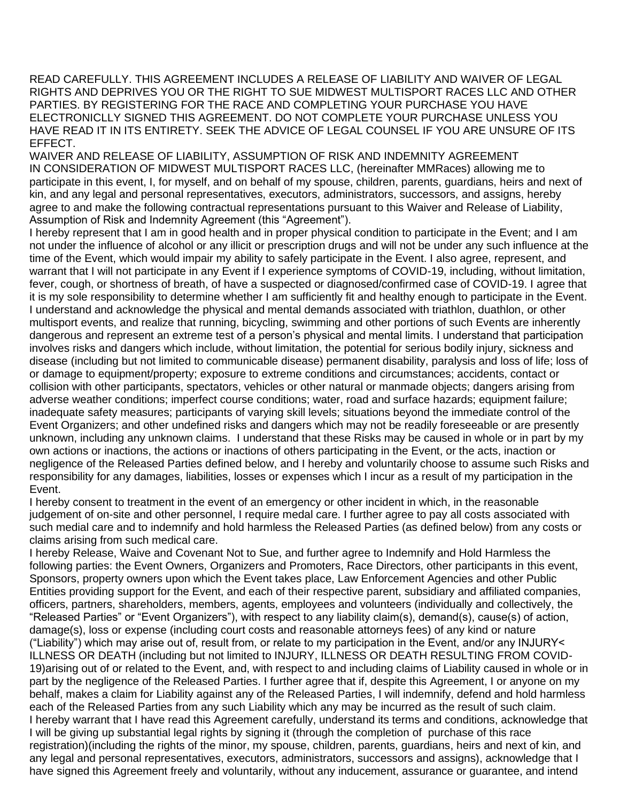READ CAREFULLY. THIS AGREEMENT INCLUDES A RELEASE OF LIABILITY AND WAIVER OF LEGAL RIGHTS AND DEPRIVES YOU OR THE RIGHT TO SUE MIDWEST MULTISPORT RACES LLC AND OTHER PARTIES. BY REGISTERING FOR THE RACE AND COMPLETING YOUR PURCHASE YOU HAVE ELECTRONICLLY SIGNED THIS AGREEMENT. DO NOT COMPLETE YOUR PURCHASE UNLESS YOU HAVE READ IT IN ITS ENTIRETY. SEEK THE ADVICE OF LEGAL COUNSEL IF YOU ARE UNSURE OF ITS EFFECT.

WAIVER AND RELEASE OF LIABILITY, ASSUMPTION OF RISK AND INDEMNITY AGREEMENT IN CONSIDERATION OF MIDWEST MULTISPORT RACES LLC, (hereinafter MMRaces) allowing me to participate in this event, I, for myself, and on behalf of my spouse, children, parents, guardians, heirs and next of kin, and any legal and personal representatives, executors, administrators, successors, and assigns, hereby agree to and make the following contractual representations pursuant to this Waiver and Release of Liability, Assumption of Risk and Indemnity Agreement (this "Agreement").

I hereby represent that I am in good health and in proper physical condition to participate in the Event; and I am not under the influence of alcohol or any illicit or prescription drugs and will not be under any such influence at the time of the Event, which would impair my ability to safely participate in the Event. I also agree, represent, and warrant that I will not participate in any Event if I experience symptoms of COVID-19, including, without limitation, fever, cough, or shortness of breath, of have a suspected or diagnosed/confirmed case of COVID-19. I agree that it is my sole responsibility to determine whether I am sufficiently fit and healthy enough to participate in the Event. I understand and acknowledge the physical and mental demands associated with triathlon, duathlon, or other multisport events, and realize that running, bicycling, swimming and other portions of such Events are inherently dangerous and represent an extreme test of a person's physical and mental limits. I understand that participation involves risks and dangers which include, without limitation, the potential for serious bodily injury, sickness and disease (including but not limited to communicable disease) permanent disability, paralysis and loss of life; loss of or damage to equipment/property; exposure to extreme conditions and circumstances; accidents, contact or collision with other participants, spectators, vehicles or other natural or manmade objects; dangers arising from adverse weather conditions; imperfect course conditions; water, road and surface hazards; equipment failure; inadequate safety measures; participants of varying skill levels; situations beyond the immediate control of the Event Organizers; and other undefined risks and dangers which may not be readily foreseeable or are presently unknown, including any unknown claims. I understand that these Risks may be caused in whole or in part by my own actions or inactions, the actions or inactions of others participating in the Event, or the acts, inaction or negligence of the Released Parties defined below, and I hereby and voluntarily choose to assume such Risks and responsibility for any damages, liabilities, losses or expenses which I incur as a result of my participation in the Event.

I hereby consent to treatment in the event of an emergency or other incident in which, in the reasonable judgement of on-site and other personnel, I require medal care. I further agree to pay all costs associated with such medial care and to indemnify and hold harmless the Released Parties (as defined below) from any costs or claims arising from such medical care.

I hereby Release, Waive and Covenant Not to Sue, and further agree to Indemnify and Hold Harmless the following parties: the Event Owners, Organizers and Promoters, Race Directors, other participants in this event, Sponsors, property owners upon which the Event takes place, Law Enforcement Agencies and other Public Entities providing support for the Event, and each of their respective parent, subsidiary and affiliated companies, officers, partners, shareholders, members, agents, employees and volunteers (individually and collectively, the "Released Parties" or "Event Organizers"), with respect to any liability claim(s), demand(s), cause(s) of action, damage(s), loss or expense (including court costs and reasonable attorneys fees) of any kind or nature ("Liability") which may arise out of, result from, or relate to my participation in the Event, and/or any INJURY< ILLNESS OR DEATH (including but not limited to INJURY, ILLNESS OR DEATH RESULTING FROM COVID-19)arising out of or related to the Event, and, with respect to and including claims of Liability caused in whole or in part by the negligence of the Released Parties. I further agree that if, despite this Agreement, I or anyone on my behalf, makes a claim for Liability against any of the Released Parties, I will indemnify, defend and hold harmless each of the Released Parties from any such Liability which any may be incurred as the result of such claim. I hereby warrant that I have read this Agreement carefully, understand its terms and conditions, acknowledge that I will be giving up substantial legal rights by signing it (through the completion of purchase of this race registration)(including the rights of the minor, my spouse, children, parents, guardians, heirs and next of kin, and any legal and personal representatives, executors, administrators, successors and assigns), acknowledge that I have signed this Agreement freely and voluntarily, without any inducement, assurance or guarantee, and intend